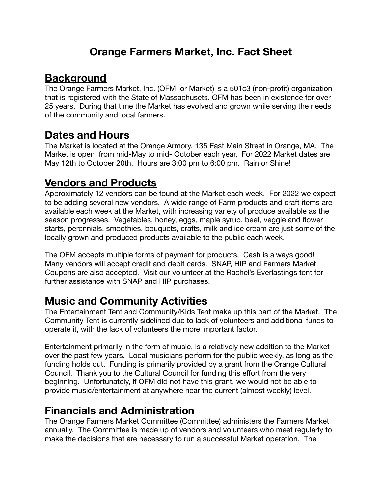## **Orange Farmers Market, Inc. Fact Sheet**

## **Background**

The Orange Farmers Market, Inc. (OFM or Market) is a 501c3 (non-profit) organization that is registered with the State of Massachusets. OFM has been in existence for over 25 years. During that time the Market has evolved and grown while serving the needs of the community and local farmers.

#### **Dates and Hours**

The Market is located at the Orange Armory, 135 East Main Street in Orange, MA. The Market is open from mid-May to mid- October each year. For 2022 Market dates are May 12th to October 20th. Hours are 3:00 pm to 6:00 pm. Rain or Shine!

## **Vendors and Products**

Approximately 12 vendors can be found at the Market each week. For 2022 we expect to be adding several new vendors. A wide range of Farm products and craft items are available each week at the Market, with increasing variety of produce available as the season progresses. Vegetables, honey, eggs, maple syrup, beef, veggie and flower starts, perennials, smoothies, bouquets, crafts, milk and ice cream are just some of the locally grown and produced products available to the public each week.

The OFM accepts multiple forms of payment for products. Cash is always good! Many vendors will accept credit and debit cards. SNAP, HIP and Farmers Market Coupons are also accepted. Visit our volunteer at the Rachel's Everlastings tent for further assistance with SNAP and HIP purchases.

# **Music and Community Activities**

The Entertainment Tent and Community/Kids Tent make up this part of the Market. The Community Tent is currently sidelined due to lack of volunteers and additional funds to operate it, with the lack of volunteers the more important factor.

Entertainment primarily in the form of music, is a relatively new addition to the Market over the past few years. Local musicians perform for the public weekly, as long as the funding holds out. Funding is primarily provided by a grant from the Orange Cultural Council. Thank you to the Cultural Council for funding this effort from the very beginning. Unfortunately, if OFM did not have this grant, we would not be able to provide music/entertainment at anywhere near the current (almost weekly) level.

## **Financials and Administration**

The Orange Farmers Market Committee (Committee) administers the Farmers Market annually. The Committee is made up of vendors and volunteers who meet regularly to make the decisions that are necessary to run a successful Market operation. The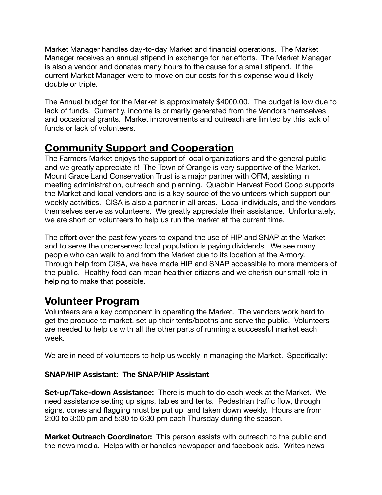Market Manager handles day-to-day Market and financial operations. The Market Manager receives an annual stipend in exchange for her efforts. The Market Manager is also a vendor and donates many hours to the cause for a small stipend. If the current Market Manager were to move on our costs for this expense would likely double or triple.

The Annual budget for the Market is approximately \$4000.00. The budget is low due to lack of funds. Currently, income is primarily generated from the Vendors themselves and occasional grants. Market improvements and outreach are limited by this lack of funds or lack of volunteers.

## **Community Support and Cooperation**

The Farmers Market enjoys the support of local organizations and the general public and we greatly appreciate it! The Town of Orange is very supportive of the Market. Mount Grace Land Conservation Trust is a major partner with OFM, assisting in meeting administration, outreach and planning. Quabbin Harvest Food Coop supports the Market and local vendors and is a key source of the volunteers which support our weekly activities. CISA is also a partner in all areas. Local individuals, and the vendors themselves serve as volunteers. We greatly appreciate their assistance. Unfortunately, we are short on volunteers to help us run the market at the current time.

The effort over the past few years to expand the use of HIP and SNAP at the Market and to serve the underserved local population is paying dividends. We see many people who can walk to and from the Market due to its location at the Armory. Through help from CISA, we have made HIP and SNAP accessible to more members of the public. Healthy food can mean healthier citizens and we cherish our small role in helping to make that possible.

# **Volunteer Program**

Volunteers are a key component in operating the Market. The vendors work hard to get the produce to market, set up their tents/booths and serve the public. Volunteers are needed to help us with all the other parts of running a successful market each week.

We are in need of volunteers to help us weekly in managing the Market. Specifically:

#### **SNAP/HIP Assistant: The SNAP/HIP Assistant**

**Set-up/Take-down Assistance:** There is much to do each week at the Market. We need assistance setting up signs, tables and tents. Pedestrian traffic flow, through signs, cones and flagging must be put up and taken down weekly. Hours are from 2:00 to 3:00 pm and 5:30 to 6:30 pm each Thursday during the season.

**Market Outreach Coordinator:** This person assists with outreach to the public and the news media. Helps with or handles newspaper and facebook ads. Writes news